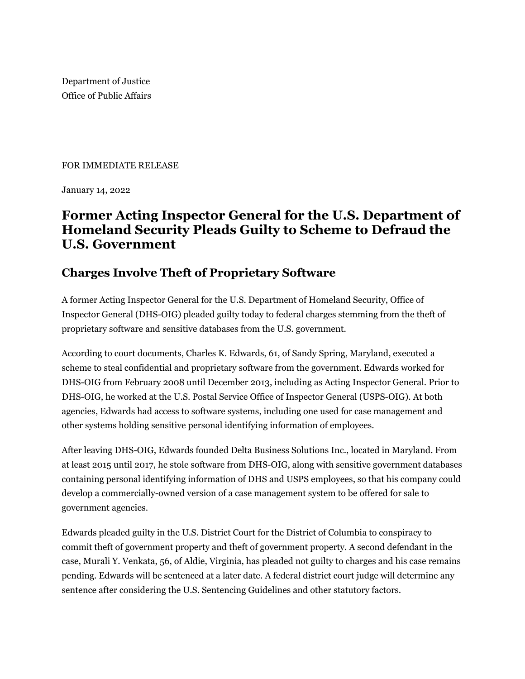Department of Justice Office of Public Affairs

## FOR IMMEDIATE RELEASE

January 14, 2022

## **Former Acting Inspector General for the U.S. Department of Homeland Security Pleads Guilty to Scheme to Defraud the U.S. Government**

## **Charges Involve Theft of Proprietary Software**

A former Acting Inspector General for the U.S. Department of Homeland Security, Office of Inspector General (DHS-OIG) pleaded guilty today to federal charges stemming from the theft of proprietary software and sensitive databases from the U.S. government.

According to court documents, Charles K. Edwards, 61, of Sandy Spring, Maryland, executed a scheme to steal confidential and proprietary software from the government. Edwards worked for DHS-OIG from February 2008 until December 2013, including as Acting Inspector General. Prior to DHS-OIG, he worked at the U.S. Postal Service Office of Inspector General (USPS-OIG). At both agencies, Edwards had access to software systems, including one used for case management and other systems holding sensitive personal identifying information of employees.

After leaving DHS-OIG, Edwards founded Delta Business Solutions Inc., located in Maryland. From at least 2015 until 2017, he stole software from DHS-OIG, along with sensitive government databases containing personal identifying information of DHS and USPS employees, so that his company could develop a commercially-owned version of a case management system to be offered for sale to government agencies.

Edwards pleaded guilty in the U.S. District Court for the District of Columbia to conspiracy to commit theft of government property and theft of government property. A second defendant in the case, Murali Y. Venkata, 56, of Aldie, Virginia, has pleaded not guilty to charges and his case remains pending. Edwards will be sentenced at a later date. A federal district court judge will determine any sentence after considering the U.S. Sentencing Guidelines and other statutory factors.